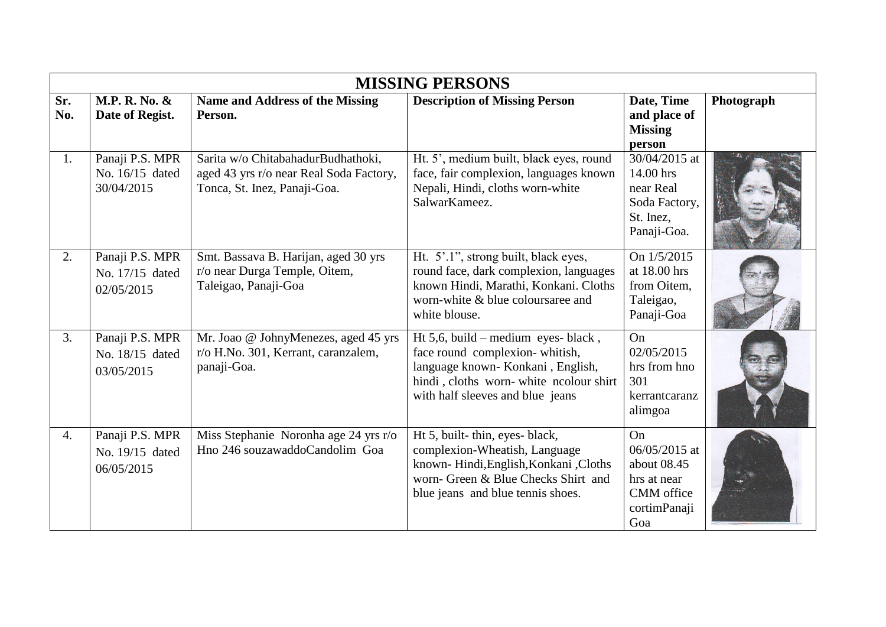|            | <b>MISSING PERSONS</b>                           |                                                                                                               |                                                                                                                                                                                         |                                                                                        |            |  |
|------------|--------------------------------------------------|---------------------------------------------------------------------------------------------------------------|-----------------------------------------------------------------------------------------------------------------------------------------------------------------------------------------|----------------------------------------------------------------------------------------|------------|--|
| Sr.<br>No. | M.P. R. No. &<br>Date of Regist.                 | <b>Name and Address of the Missing</b><br>Person.                                                             | <b>Description of Missing Person</b>                                                                                                                                                    | Date, Time<br>and place of<br><b>Missing</b><br>person                                 | Photograph |  |
| 1.         | Panaji P.S. MPR<br>No. 16/15 dated<br>30/04/2015 | Sarita w/o ChitabahadurBudhathoki,<br>aged 43 yrs r/o near Real Soda Factory,<br>Tonca, St. Inez, Panaji-Goa. | Ht. 5', medium built, black eyes, round<br>face, fair complexion, languages known<br>Nepali, Hindi, cloths worn-white<br>SalwarKameez.                                                  | 30/04/2015 at<br>14.00 hrs<br>near Real<br>Soda Factory,<br>St. Inez,<br>Panaji-Goa.   |            |  |
| 2.         | Panaji P.S. MPR<br>No. 17/15 dated<br>02/05/2015 | Smt. Bassava B. Harijan, aged 30 yrs<br>r/o near Durga Temple, Oitem,<br>Taleigao, Panaji-Goa                 | Ht. 5'.1", strong built, black eyes,<br>round face, dark complexion, languages<br>known Hindi, Marathi, Konkani. Cloths<br>worn-white & blue coloursaree and<br>white blouse.           | On 1/5/2015<br>at 18.00 hrs<br>from Oitem,<br>Taleigao,<br>Panaji-Goa                  |            |  |
| 3.         | Panaji P.S. MPR<br>No. 18/15 dated<br>03/05/2015 | Mr. Joao @ JohnyMenezes, aged 45 yrs<br>r/o H.No. 301, Kerrant, caranzalem,<br>panaji-Goa.                    | Ht 5,6, build – medium eyes- black,<br>face round complexion-whitish,<br>language known-Konkani, English,<br>hindi, cloths worn-white ncolour shirt<br>with half sleeves and blue jeans | On<br>02/05/2015<br>hrs from hno<br>301<br>kerrantcaranz<br>alimgoa                    |            |  |
| 4.         | Panaji P.S. MPR<br>No. 19/15 dated<br>06/05/2015 | Miss Stephanie Noronha age 24 yrs r/o<br>Hno 246 souzawaddoCandolim Goa                                       | Ht 5, built-thin, eyes-black,<br>complexion-Wheatish, Language<br>known- Hindi, English, Konkani, Cloths<br>worn- Green & Blue Checks Shirt and<br>blue jeans and blue tennis shoes.    | On<br>06/05/2015 at<br>about 08.45<br>hrs at near<br>CMM office<br>cortimPanaji<br>Goa |            |  |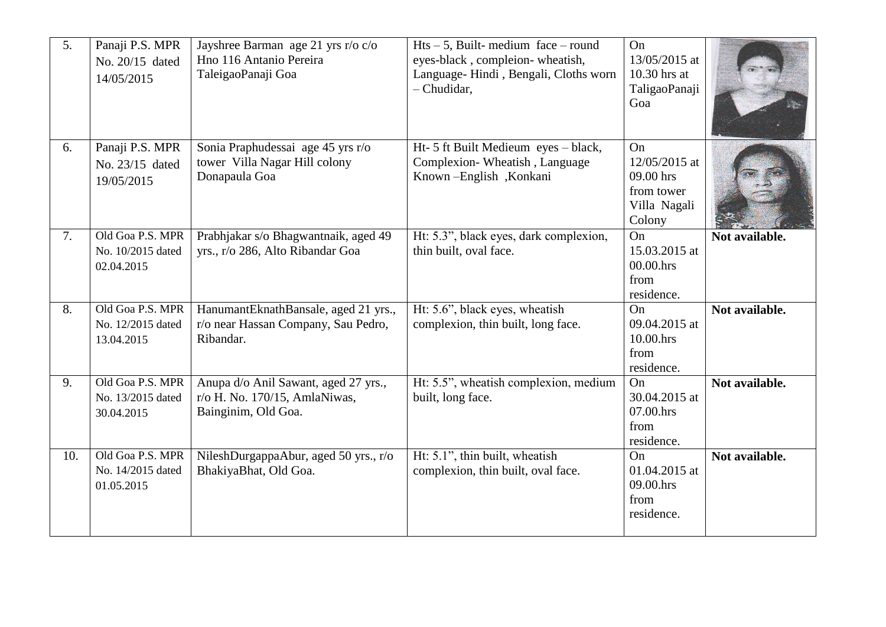| 5.  | Panaji P.S. MPR<br>No. 20/15 dated<br>14/05/2015    | Jayshree Barman age 21 yrs r/o c/o<br>Hno 116 Antanio Pereira<br>TaleigaoPanaji Goa          | $Hts - 5$ , Built-medium face – round<br>eyes-black, compleion-wheatish,<br>Language-Hindi, Bengali, Cloths worn<br>- Chudidar, | On<br>13/05/2015 at<br>10.30 hrs at<br>TaligaoPanaji<br>Goa              |                |
|-----|-----------------------------------------------------|----------------------------------------------------------------------------------------------|---------------------------------------------------------------------------------------------------------------------------------|--------------------------------------------------------------------------|----------------|
| 6.  | Panaji P.S. MPR<br>No. 23/15 dated<br>19/05/2015    | Sonia Praphudessai age 45 yrs r/o<br>tower Villa Nagar Hill colony<br>Donapaula Goa          | Ht- 5 ft Built Medieum eyes - black,<br>Complexion-Wheatish, Language<br>Known-English, Konkani                                 | On<br>12/05/2015 at<br>09.00 hrs<br>from tower<br>Villa Nagali<br>Colony |                |
| 7.  | Old Goa P.S. MPR<br>No. 10/2015 dated<br>02.04.2015 | Prabhjakar s/o Bhagwantnaik, aged 49<br>yrs., r/o 286, Alto Ribandar Goa                     | Ht: 5.3", black eyes, dark complexion,<br>thin built, oval face.                                                                | <b>On</b><br>15.03.2015 at<br>00.00.hrs<br>from<br>residence.            | Not available. |
| 8.  | Old Goa P.S. MPR<br>No. 12/2015 dated<br>13.04.2015 | HanumantEknathBansale, aged 21 yrs.,<br>r/o near Hassan Company, Sau Pedro,<br>Ribandar.     | Ht: 5.6", black eyes, wheatish<br>complexion, thin built, long face.                                                            | <b>On</b><br>09.04.2015 at<br>10.00.hrs<br>from<br>residence.            | Not available. |
| 9.  | Old Goa P.S. MPR<br>No. 13/2015 dated<br>30.04.2015 | Anupa d/o Anil Sawant, aged 27 yrs.,<br>r/o H. No. 170/15, AmlaNiwas,<br>Bainginim, Old Goa. | Ht: 5.5", wheatish complexion, medium<br>built, long face.                                                                      | On<br>30.04.2015 at<br>07.00.hrs<br>from<br>residence.                   | Not available. |
| 10. | Old Goa P.S. MPR<br>No. 14/2015 dated<br>01.05.2015 | NileshDurgappaAbur, aged 50 yrs., r/o<br>BhakiyaBhat, Old Goa.                               | Ht: 5.1", thin built, wheatish<br>complexion, thin built, oval face.                                                            | <b>On</b><br>01.04.2015 at<br>09.00.hrs<br>from<br>residence.            | Not available. |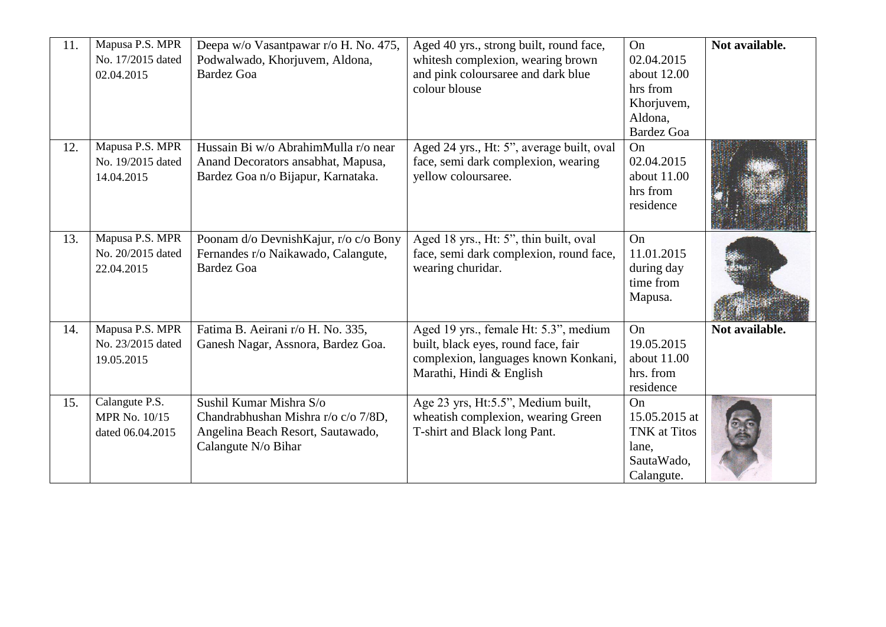| 11. | Mapusa P.S. MPR   | Deepa w/o Vasantpawar r/o H. No. 475, | Aged 40 yrs., strong built, round face,   | On                  | Not available. |
|-----|-------------------|---------------------------------------|-------------------------------------------|---------------------|----------------|
|     | No. 17/2015 dated | Podwalwado, Khorjuvem, Aldona,        | whitesh complexion, wearing brown         | 02.04.2015          |                |
|     | 02.04.2015        | <b>Bardez Goa</b>                     | and pink coloursaree and dark blue        | about 12.00         |                |
|     |                   |                                       | colour blouse                             | hrs from            |                |
|     |                   |                                       |                                           | Khorjuvem,          |                |
|     |                   |                                       |                                           | Aldona,             |                |
|     |                   |                                       |                                           | <b>Bardez Goa</b>   |                |
| 12. | Mapusa P.S. MPR   | Hussain Bi w/o AbrahimMulla r/o near  | Aged 24 yrs., Ht: 5", average built, oval | On                  |                |
|     | No. 19/2015 dated | Anand Decorators ansabhat, Mapusa,    | face, semi dark complexion, wearing       | 02.04.2015          |                |
|     | 14.04.2015        | Bardez Goa n/o Bijapur, Karnataka.    | yellow coloursaree.                       | about 11.00         |                |
|     |                   |                                       |                                           | hrs from            |                |
|     |                   |                                       |                                           | residence           |                |
|     |                   |                                       |                                           |                     |                |
| 13. | Mapusa P.S. MPR   | Poonam d/o DevnishKajur, r/o c/o Bony | Aged 18 yrs., Ht: 5", thin built, oval    | On                  |                |
|     | No. 20/2015 dated | Fernandes r/o Naikawado, Calangute,   | face, semi dark complexion, round face,   | 11.01.2015          |                |
|     | 22.04.2015        | <b>Bardez Goa</b>                     | wearing churidar.                         | during day          |                |
|     |                   |                                       |                                           | time from           |                |
|     |                   |                                       |                                           | Mapusa.             |                |
|     |                   |                                       |                                           |                     |                |
| 14. | Mapusa P.S. MPR   | Fatima B. Aeirani r/o H. No. 335,     | Aged 19 yrs., female Ht: 5.3", medium     | On                  | Not available. |
|     | No. 23/2015 dated | Ganesh Nagar, Assnora, Bardez Goa.    | built, black eyes, round face, fair       | 19.05.2015          |                |
|     | 19.05.2015        |                                       | complexion, languages known Konkani,      | about $11.00$       |                |
|     |                   |                                       | Marathi, Hindi & English                  | hrs. from           |                |
|     |                   |                                       |                                           | residence           |                |
| 15. | Calangute P.S.    | Sushil Kumar Mishra S/o               | Age 23 yrs, Ht:5.5", Medium built,        | On                  |                |
|     | MPR No. 10/15     | Chandrabhushan Mishra r/o c/o 7/8D,   | wheatish complexion, wearing Green        | 15.05.2015 at       |                |
|     | dated 06.04.2015  | Angelina Beach Resort, Sautawado,     | T-shirt and Black long Pant.              | <b>TNK</b> at Titos |                |
|     |                   | Calangute N/o Bihar                   |                                           | lane,               |                |
|     |                   |                                       |                                           | SautaWado,          |                |
|     |                   |                                       |                                           | Calangute.          |                |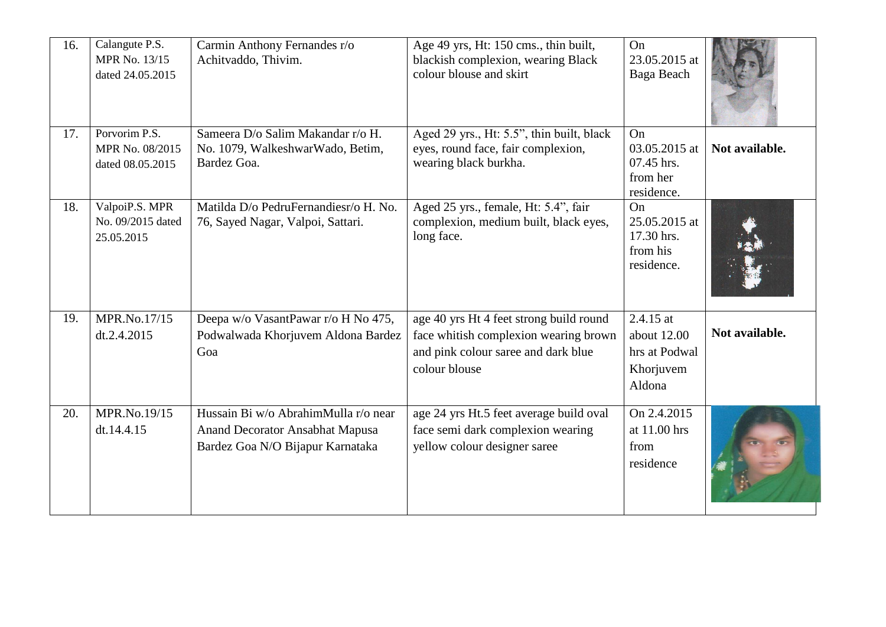| 16. | Calangute P.S.<br>MPR No. 13/15<br>dated 24.05.2015  | Carmin Anthony Fernandes r/o<br>Achitvaddo, Thivim.                                                         | Age 49 yrs, Ht: 150 cms., thin built,<br>blackish complexion, wearing Black<br>colour blouse and skirt                                   | On<br>23.05.2015 at<br>Baga Beach                                  |                |
|-----|------------------------------------------------------|-------------------------------------------------------------------------------------------------------------|------------------------------------------------------------------------------------------------------------------------------------------|--------------------------------------------------------------------|----------------|
| 17. | Porvorim P.S.<br>MPR No. 08/2015<br>dated 08.05.2015 | Sameera D/o Salim Makandar r/o H.<br>No. 1079, WalkeshwarWado, Betim,<br>Bardez Goa.                        | Aged 29 yrs., Ht: 5.5", thin built, black<br>eyes, round face, fair complexion,<br>wearing black burkha.                                 | On<br>03.05.2015 at<br>07.45 hrs.<br>from her<br>residence.        | Not available. |
| 18. | ValpoiP.S. MPR<br>No. 09/2015 dated<br>25.05.2015    | Matilda D/o PedruFernandiesr/o H. No.<br>76, Sayed Nagar, Valpoi, Sattari.                                  | Aged 25 yrs., female, Ht: 5.4", fair<br>complexion, medium built, black eyes,<br>long face.                                              | On<br>25.05.2015 at<br>17.30 hrs.<br>from his<br>residence.        |                |
| 19. | MPR.No.17/15<br>dt.2.4.2015                          | Deepa w/o VasantPawar r/o H No 475,<br>Podwalwada Khorjuvem Aldona Bardez<br>Goa                            | age 40 yrs Ht 4 feet strong build round<br>face whitish complexion wearing brown<br>and pink colour saree and dark blue<br>colour blouse | $2.4.15$ at<br>about 12.00<br>hrs at Podwal<br>Khorjuvem<br>Aldona | Not available. |
| 20. | MPR.No.19/15<br>dt.14.4.15                           | Hussain Bi w/o AbrahimMulla r/o near<br>Anand Decorator Ansabhat Mapusa<br>Bardez Goa N/O Bijapur Karnataka | age 24 yrs Ht.5 feet average build oval<br>face semi dark complexion wearing<br>yellow colour designer saree                             | On 2.4.2015<br>at 11.00 hrs<br>from<br>residence                   |                |